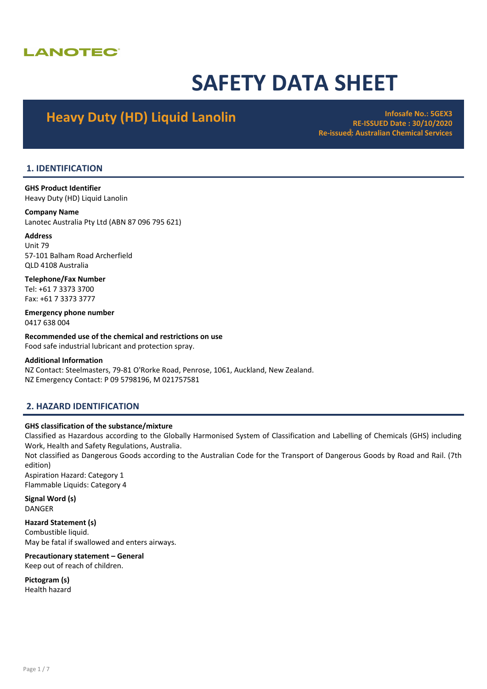## **LANOTEC**

# SAFETY DATA SHEET

## Heavy Duty (HD) Liquid Lanolin **Infosafe No.: 5GEX3**

RE-ISSUED Date : 30/10/2020 Re-issued: Australian Chemical Services

## 1. IDENTIFICATION

GHS Product Identifier Heavy Duty (HD) Liquid Lanolin

## Company Name

Lanotec Australia Pty Ltd (ABN 87 096 795 621)

## Address

Unit 79 57-101 Balham Road Archerfield QLD 4108 Australia

Telephone/Fax Number Tel: +61 7 3373 3700 Fax: +61 7 3373 3777

Emergency phone number 0417 638 004

Recommended use of the chemical and restrictions on use Food safe industrial lubricant and protection spray.

## Additional Information

NZ Contact: Steelmasters, 79-81 O'Rorke Road, Penrose, 1061, Auckland, New Zealand. NZ Emergency Contact: P 09 5798196, M 021757581

## 2. HAZARD IDENTIFICATION

## GHS classification of the substance/mixture

Classified as Hazardous according to the Globally Harmonised System of Classification and Labelling of Chemicals (GHS) including Work, Health and Safety Regulations, Australia.

Not classified as Dangerous Goods according to the Australian Code for the Transport of Dangerous Goods by Road and Rail. (7th edition)

Aspiration Hazard: Category 1 Flammable Liquids: Category 4

Signal Word (s) **DANGER** 

Hazard Statement (s) Combustible liquid. May be fatal if swallowed and enters airways.

## Precautionary statement – General

Keep out of reach of children.

Pictogram (s)

Health hazard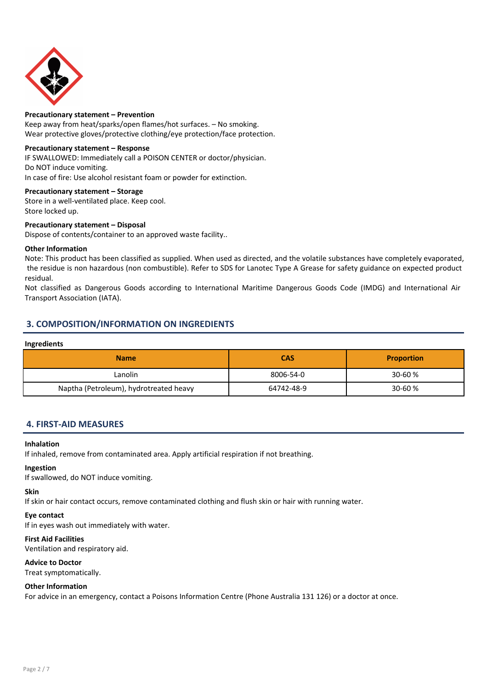

## Precautionary statement – Prevention

Keep away from heat/sparks/open flames/hot surfaces. – No smoking. Wear protective gloves/protective clothing/eye protection/face protection.

## Precautionary statement – Response

IF SWALLOWED: Immediately call a POISON CENTER or doctor/physician. Do NOT induce vomiting. In case of fire: Use alcohol resistant foam or powder for extinction.

## Precautionary statement – Storage

Store in a well-ventilated place. Keep cool. Store locked up.

## Precautionary statement – Disposal

Dispose of contents/container to an approved waste facility..

## Other Information

Note: This product has been classified as supplied. When used as directed, and the volatile substances have completely evaporated, the residue is non hazardous (non combustible). Refer to SDS for Lanotec Type A Grease for safety guidance on expected product residual.

Not classified as Dangerous Goods according to International Maritime Dangerous Goods Code (IMDG) and International Air Transport Association (IATA).

## 3. COMPOSITION/INFORMATION ON INGREDIENTS

## Ingredients

| <b>Name</b>                            | <b>CAS</b> | <b>Proportion</b> |
|----------------------------------------|------------|-------------------|
| Lanolin                                | 8006-54-0  | $30 - 60 %$       |
| Naptha (Petroleum), hydrotreated heavy | 64742-48-9 | $30 - 60 %$       |

## 4. FIRST-AID MEASURES

## Inhalation

If inhaled, remove from contaminated area. Apply artificial respiration if not breathing.

### Ingestion

If swallowed, do NOT induce vomiting.

## Skin

If skin or hair contact occurs, remove contaminated clothing and flush skin or hair with running water.

### Eye contact

If in eyes wash out immediately with water.

## First Aid Facilities

Ventilation and respiratory aid.

### Advice to Doctor

Treat symptomatically.

## Other Information

For advice in an emergency, contact a Poisons Information Centre (Phone Australia 131 126) or a doctor at once.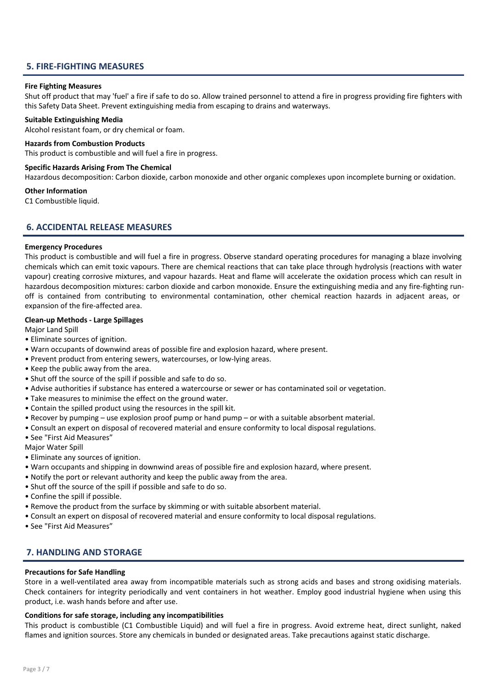## 5. FIRE-FIGHTING MEASURES

## Fire Fighting Measures

Shut off product that may 'fuel' a fire if safe to do so. Allow trained personnel to attend a fire in progress providing fire fighters with this Safety Data Sheet. Prevent extinguishing media from escaping to drains and waterways.

## Suitable Extinguishing Media

Alcohol resistant foam, or dry chemical or foam.

## Hazards from Combustion Products

This product is combustible and will fuel a fire in progress.

## Specific Hazards Arising From The Chemical

Hazardous decomposition: Carbon dioxide, carbon monoxide and other organic complexes upon incomplete burning or oxidation.

### Other Information

C1 Combustible liquid.

## 6. ACCIDENTAL RELEASE MEASURES

### Emergency Procedures

This product is combustible and will fuel a fire in progress. Observe standard operating procedures for managing a blaze involving chemicals which can emit toxic vapours. There are chemical reactions that can take place through hydrolysis (reactions with water vapour) creating corrosive mixtures, and vapour hazards. Heat and flame will accelerate the oxidation process which can result in hazardous decomposition mixtures: carbon dioxide and carbon monoxide. Ensure the extinguishing media and any fire-fighting runoff is contained from contributing to environmental contamination, other chemical reaction hazards in adjacent areas, or expansion of the fire-affected area.

## Clean-up Methods - Large Spillages

Major Land Spill

- Eliminate sources of ignition.
- Warn occupants of downwind areas of possible fire and explosion hazard, where present.
- Prevent product from entering sewers, watercourses, or low-lying areas.
- Keep the public away from the area.
- Shut off the source of the spill if possible and safe to do so.
- Advise authorities if substance has entered a watercourse or sewer or has contaminated soil or vegetation.
- Take measures to minimise the effect on the ground water.
- Contain the spilled product using the resources in the spill kit.
- Recover by pumping use explosion proof pump or hand pump or with a suitable absorbent material.
- Consult an expert on disposal of recovered material and ensure conformity to local disposal regulations.
- See "First Aid Measures"

Major Water Spill

- Eliminate any sources of ignition.
- Warn occupants and shipping in downwind areas of possible fire and explosion hazard, where present.
- Notify the port or relevant authority and keep the public away from the area.
- Shut off the source of the spill if possible and safe to do so.
- Confine the spill if possible.
- Remove the product from the surface by skimming or with suitable absorbent material.
- Consult an expert on disposal of recovered material and ensure conformity to local disposal regulations.
- See "First Aid Measures"

## 7. HANDLING AND STORAGE

## Precautions for Safe Handling

Store in a well-ventilated area away from incompatible materials such as strong acids and bases and strong oxidising materials. Check containers for integrity periodically and vent containers in hot weather. Employ good industrial hygiene when using this product, i.e. wash hands before and after use.

## Conditions for safe storage, including any incompatibilities

This product is combustible (C1 Combustible Liquid) and will fuel a fire in progress. Avoid extreme heat, direct sunlight, naked flames and ignition sources. Store any chemicals in bunded or designated areas. Take precautions against static discharge.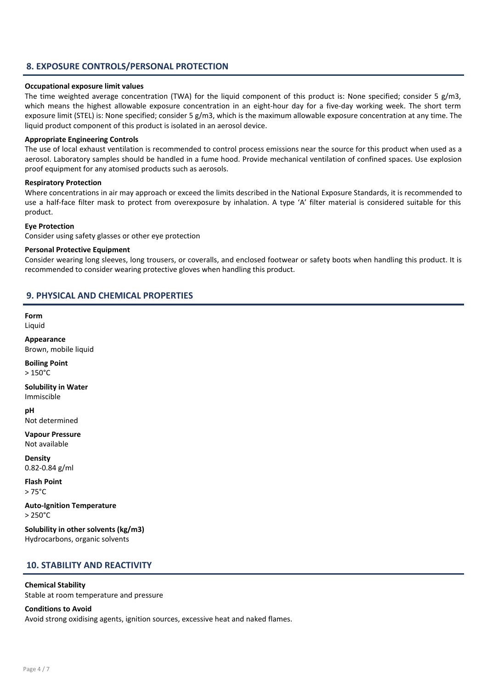## 8. EXPOSURE CONTROLS/PERSONAL PROTECTION

## Occupational exposure limit values

The time weighted average concentration (TWA) for the liquid component of this product is: None specified; consider 5 g/m3, which means the highest allowable exposure concentration in an eight-hour day for a five-day working week. The short term exposure limit (STEL) is: None specified; consider 5 g/m3, which is the maximum allowable exposure concentration at any time. The liquid product component of this product is isolated in an aerosol device.

## Appropriate Engineering Controls

The use of local exhaust ventilation is recommended to control process emissions near the source for this product when used as a aerosol. Laboratory samples should be handled in a fume hood. Provide mechanical ventilation of confined spaces. Use explosion proof equipment for any atomised products such as aerosols.

## Respiratory Protection

Where concentrations in air may approach or exceed the limits described in the National Exposure Standards, it is recommended to use a half-face filter mask to protect from overexposure by inhalation. A type 'A' filter material is considered suitable for this product.

## Eye Protection

Consider using safety glasses or other eye protection

## Personal Protective Equipment

Consider wearing long sleeves, long trousers, or coveralls, and enclosed footwear or safety boots when handling this product. It is recommended to consider wearing protective gloves when handling this product.

## 9. PHYSICAL AND CHEMICAL PROPERTIES

Form Liquid

Appearance Brown, mobile liquid

Boiling Point  $> 150^{\circ}$ C

Solubility in Water Immiscible

pH Not determined

Vapour Pressure Not available

Density 0.82-0.84 g/ml

Flash Point > 75°C

Auto-Ignition Temperature  $> 250^{\circ}$ C

Solubility in other solvents (kg/m3) Hydrocarbons, organic solvents

## 10. STABILITY AND REACTIVITY

## Chemical Stability

Stable at room temperature and pressure

## Conditions to Avoid

Avoid strong oxidising agents, ignition sources, excessive heat and naked flames.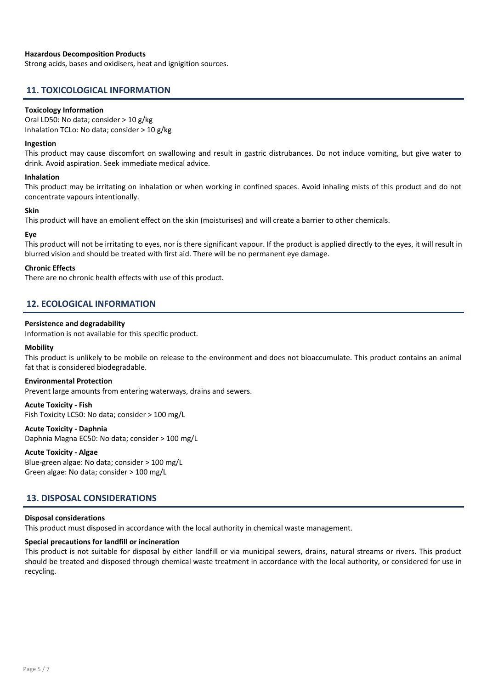## Hazardous Decomposition Products

Strong acids, bases and oxidisers, heat and ignigition sources.

## 11. TOXICOLOGICAL INFORMATION

### Toxicology Information

Oral LD50: No data; consider > 10 g/kg Inhalation TCLo: No data; consider > 10 g/kg

#### Ingestion

This product may cause discomfort on swallowing and result in gastric distrubances. Do not induce vomiting, but give water to drink. Avoid aspiration. Seek immediate medical advice.

#### Inhalation

This product may be irritating on inhalation or when working in confined spaces. Avoid inhaling mists of this product and do not concentrate vapours intentionally.

### Skin

This product will have an emolient effect on the skin (moisturises) and will create a barrier to other chemicals.

### Eye

This product will not be irritating to eyes, nor is there significant vapour. If the product is applied directly to the eyes, it will result in blurred vision and should be treated with first aid. There will be no permanent eye damage.

#### Chronic Effects

There are no chronic health effects with use of this product.

## 12. ECOLOGICAL INFORMATION

### Persistence and degradability

Information is not available for this specific product.

#### **Mobility**

This product is unlikely to be mobile on release to the environment and does not bioaccumulate. This product contains an animal fat that is considered biodegradable.

#### Environmental Protection

Prevent large amounts from entering waterways, drains and sewers.

## Acute Toxicity - Fish

Fish Toxicity LC50: No data; consider > 100 mg/L

## Acute Toxicity - Daphnia

Daphnia Magna EC50: No data; consider > 100 mg/L

### Acute Toxicity - Algae

Blue-green algae: No data; consider > 100 mg/L Green algae: No data; consider > 100 mg/L

## 13. DISPOSAL CONSIDERATIONS

### Disposal considerations

This product must disposed in accordance with the local authority in chemical waste management.

## Special precautions for landfill or incineration

This product is not suitable for disposal by either landfill or via municipal sewers, drains, natural streams or rivers. This product should be treated and disposed through chemical waste treatment in accordance with the local authority, or considered for use in recycling.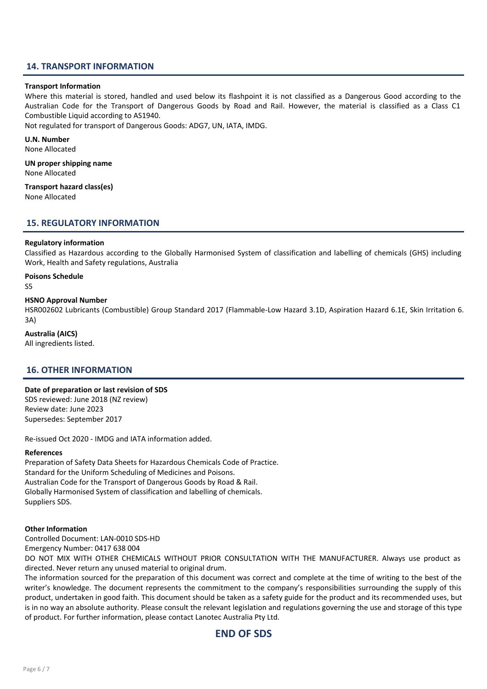## 14. TRANSPORT INFORMATION

#### Transport Information

Where this material is stored, handled and used below its flashpoint it is not classified as a Dangerous Good according to the Australian Code for the Transport of Dangerous Goods by Road and Rail. However, the material is classified as a Class C1 Combustible Liquid according to AS1940.

Not regulated for transport of Dangerous Goods: ADG7, UN, IATA, IMDG.

### U.N. Number

None Allocated

UN proper shipping name None Allocated

Transport hazard class(es) None Allocated

## 15. REGULATORY INFORMATION

#### Regulatory information

Classified as Hazardous according to the Globally Harmonised System of classification and labelling of chemicals (GHS) including Work, Health and Safety regulations, Australia

## Poisons Schedule

S5

## HSNO Approval Number

HSR002602 Lubricants (Combustible) Group Standard 2017 (Flammable-Low Hazard 3.1D, Aspiration Hazard 6.1E, Skin Irritation 6. 3A)

## Australia (AICS)

All ingredients listed.

## 16. OTHER INFORMATION

### Date of preparation or last revision of SDS

SDS reviewed: June 2018 (NZ review) Review date: June 2023 Supersedes: September 2017

Re-issued Oct 2020 - IMDG and IATA information added.

### References

Preparation of Safety Data Sheets for Hazardous Chemicals Code of Practice. Standard for the Uniform Scheduling of Medicines and Poisons. Australian Code for the Transport of Dangerous Goods by Road & Rail. Globally Harmonised System of classification and labelling of chemicals. Suppliers SDS.

#### Other Information

Controlled Document: LAN-0010 SDS-HD

Emergency Number: 0417 638 004

DO NOT MIX WITH OTHER CHEMICALS WITHOUT PRIOR CONSULTATION WITH THE MANUFACTURER. Always use product as directed. Never return any unused material to original drum.

The information sourced for the preparation of this document was correct and complete at the time of writing to the best of the writer's knowledge. The document represents the commitment to the company's responsibilities surrounding the supply of this product, undertaken in good faith. This document should be taken as a safety guide for the product and its recommended uses, but is in no way an absolute authority. Please consult the relevant legislation and regulations governing the use and storage of this type of product. For further information, please contact Lanotec Australia Pty Ltd.

## END OF SDS